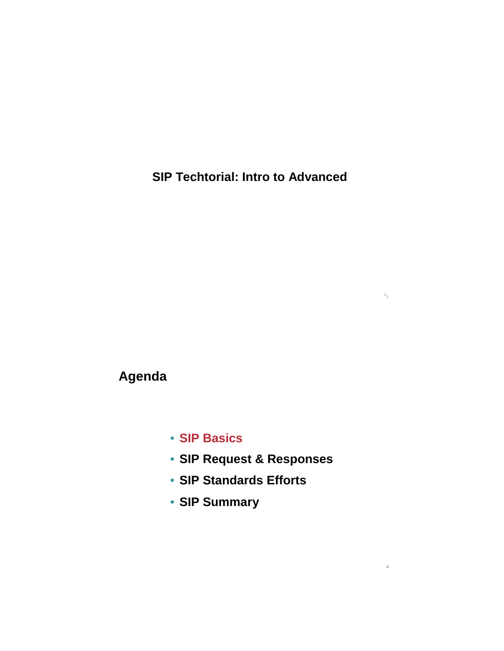**SIP Techtorial: Intro to Advanced**

1 1

2

**Agenda**

- **SIP Basics**
- **SIP Request & Responses**
- **SIP Standards Efforts**
- **SIP Summary**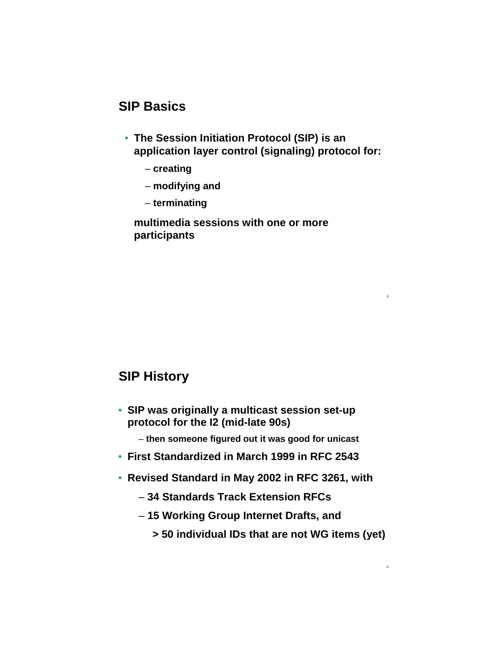## **SIP Basics**

• **The Session Initiation Protocol (SIP) is an application layer control (signaling) protocol for:**

3

4

- **creating**
- **modifying and**
- **terminating**

**multimedia sessions with one or more participants**

# **SIP History**

- **SIP was originally a multicast session set-up protocol for the I2 (mid-late 90s)**
	- **then someone figured out it was good for unicast**
- **First Standardized in March 1999 in RFC 2543**
- **Revised Standard in May 2002 in RFC 3261, with**
	- **34 Standards Track Extension RFCs**
	- **15 Working Group Internet Drafts, and**
		- **> 50 individual IDs that are not WG items (yet)**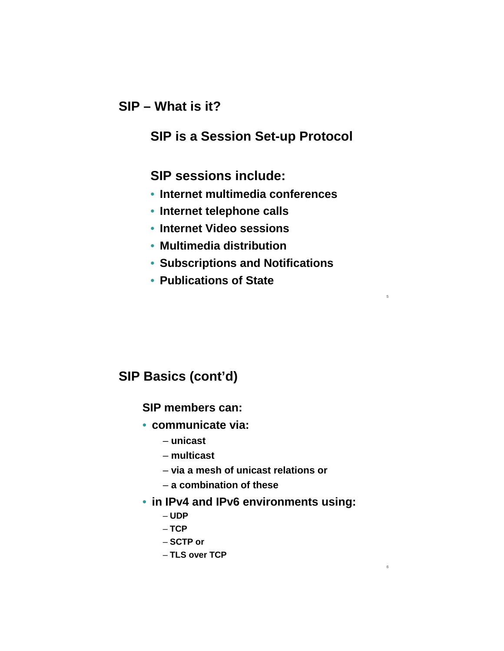#### **SIP – What is it?**

#### **SIP is a Session Set-up Protocol**

#### **SIP sessions include:**

- **Internet multimedia conferences**
- **Internet telephone calls**
- **Internet Video sessions**
- **Multimedia distribution**
- **Subscriptions and Notifications**

5

6

• **Publications of State**

# **SIP Basics (cont'd)**

#### **SIP members can:**

- **communicate via:** 
	- **unicast**
	- **multicast**
	- **via a mesh of unicast relations or**
	- **a combination of these**
- **in IPv4 and IPv6 environments using:**
	- **UDP**
	- **TCP**
	- **SCTP or**
	- **TLS over TCP**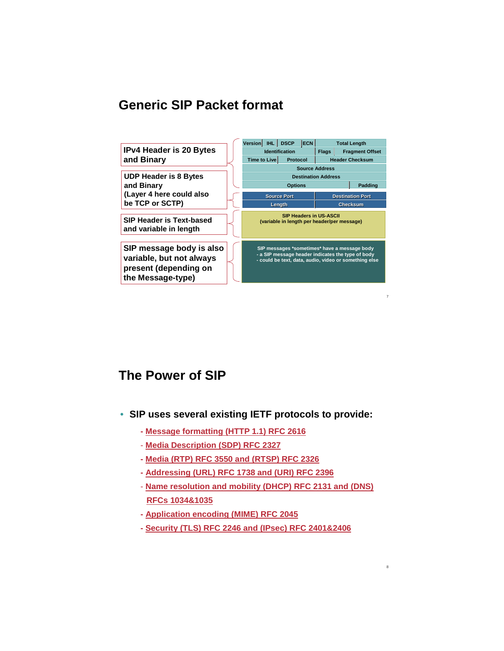#### **Generic SIP Packet format**



## **The Power of SIP**

- **SIP uses several existing IETF protocols to provide:**
	- **Message formatting (HTTP 1.1) RFC 2616**
	- **Media Description (SDP) RFC 2327**
	- **Media (RTP) RFC 3550 and (RTSP) RFC 2326**
	- **Addressing (URL) RFC 1738 and (URI) RFC 2396**
	- **Name resolution and mobility (DHCP) RFC 2131 and (DNS) RFCs 1034&1035**

- **Application encoding (MIME) RFC 2045**
- **Security (TLS) RFC 2246 and (IPsec) RFC 2401&2406**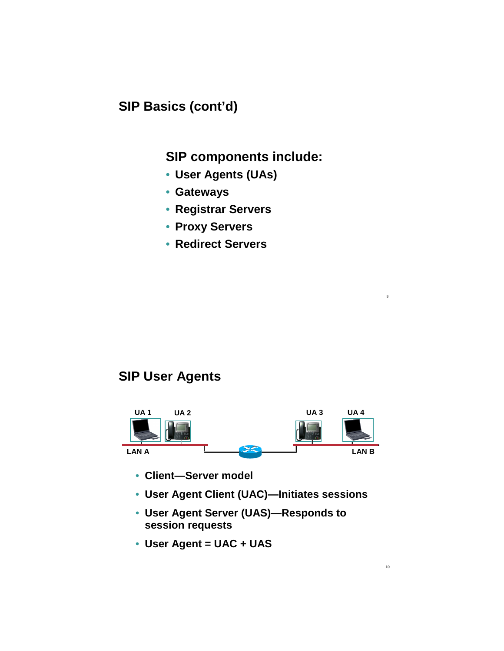# **SIP Basics (cont'd)**

#### **SIP components include:**

- **User Agents (UAs)**
- **Gateways**
- **Registrar Servers**
- **Proxy Servers**
- **Redirect Servers**

# **SIP User Agents**



- **Client—Server model**
- **User Agent Client (UAC)—Initiates sessions**
- **User Agent Server (UAS)—Responds to session requests**
- **User Agent = UAC + UAS**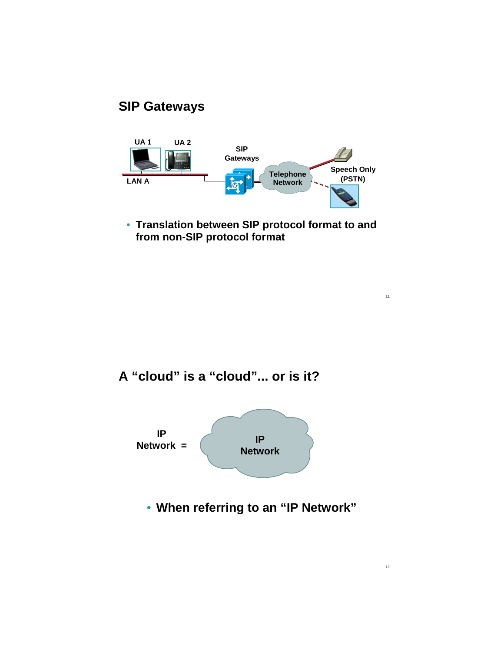# **SIP Gateways**



• **Translation between SIP protocol format to and from non-SIP protocol format**

11

12

**A "cloud" is a "cloud"... or is it?**



• **When referring to an "IP Network"**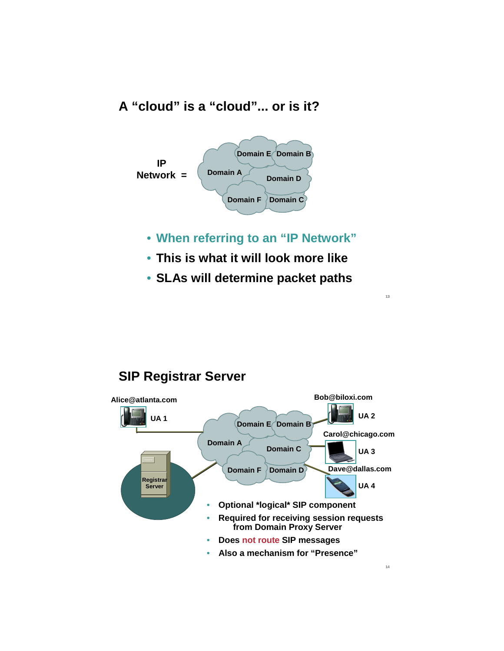# **A "cloud" is a "cloud"... or is it?**



- **When referring to an "IP Network"**
- **This is what it will look more like**
- **SLAs will determine packet paths**

13

# **SIP Registrar Server**

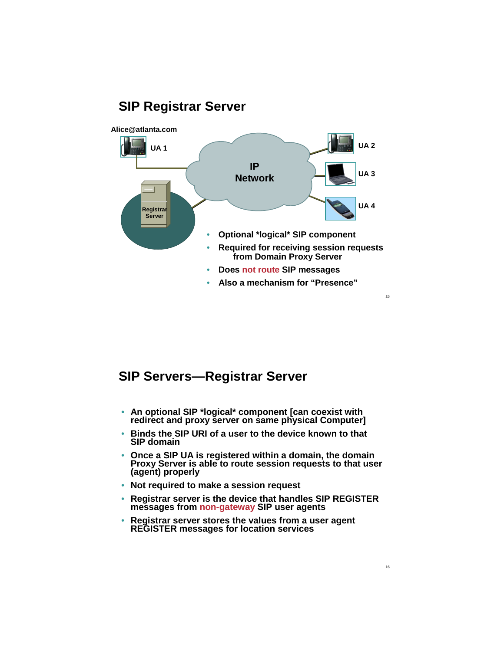

#### **SIP Servers—Registrar Server**

- **An optional SIP \*logical\* component [can coexist with redirect and proxy server on same physical Computer]**
- **Binds the SIP URI of a user to the device known to that SIP domain**
- **Once a SIP UA is registered within a domain, the domain Proxy Server is able to route session requests to that user (agent) properly**
- **Not required to make a session request**
- **Registrar server is the device that handles SIP REGISTER messages from non-gateway SIP user agents**
- **Registrar server stores the values from a user agent REGISTER messages for location services**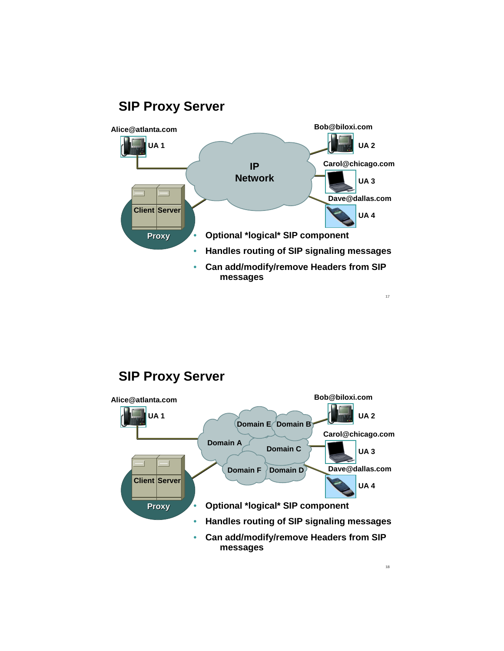

# **SIP Proxy Server**

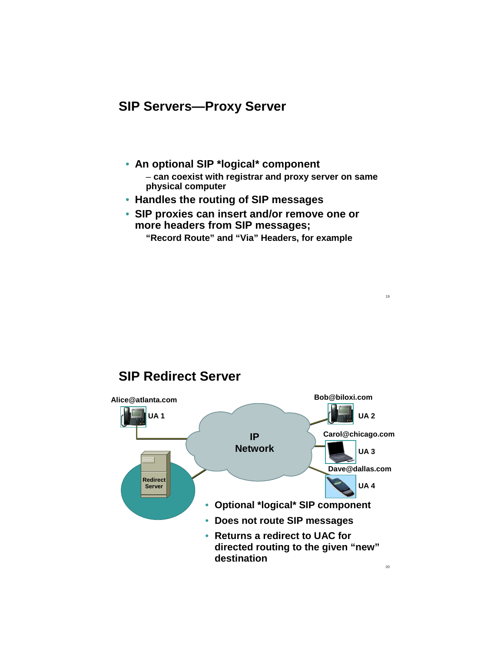#### **SIP Servers—Proxy Server**

- **An optional SIP \*logical\* component**  – **can coexist with registrar and proxy server on same physical computer**
- **Handles the routing of SIP messages**
- **SIP proxies can insert and/or remove one or more headers from SIP messages; "Record Route" and "Via" Headers, for example**

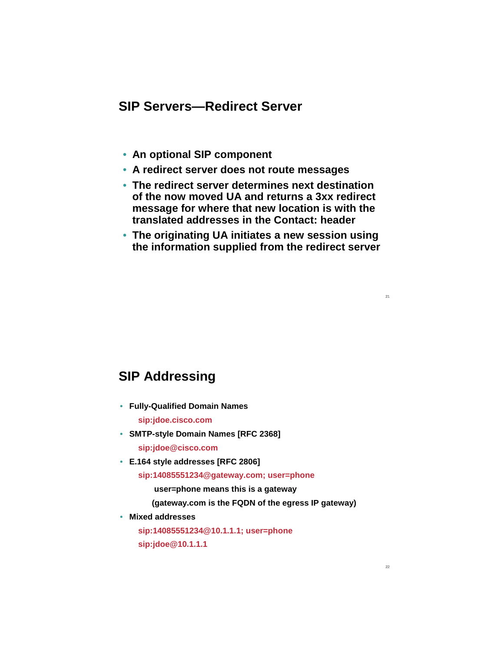## **SIP Servers—Redirect Server**

- **An optional SIP component**
- **A redirect server does not route messages**
- **The redirect server determines next destination of the now moved UA and returns a 3xx redirect message for where that new location is with the translated addresses in the Contact: header**
- **The originating UA initiates a new session using the information supplied from the redirect server**

#### **SIP Addressing**

- **Fully-Qualified Domain Names sip:jdoe.cisco.com**
- **SMTP-style Domain Names [RFC 2368] sip:jdoe@cisco.com**
- **E.164 style addresses [RFC 2806]**

**sip:14085551234@gateway.com; user=phone**

**user=phone means this is a gateway**

**(gateway.com is the FQDN of the egress IP gateway)**

• **Mixed addresses**

**sip:14085551234@10.1.1.1; user=phone sip:jdoe@10.1.1.1**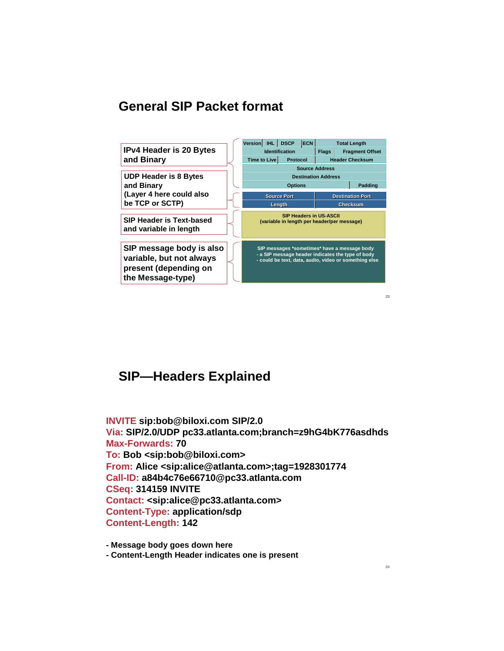#### **General SIP Packet format**



23

#### **SIP—Headers Explained**

**INVITE sip:bob@biloxi.com SIP/2.0 Via: SIP/2.0/UDP pc33.atlanta.com;branch=z9hG4bK776asdhds Max-Forwards: 70 To: Bob <sip:bob@biloxi.com> From: Alice <sip:alice@atlanta.com>;tag=1928301774 Call-ID: a84b4c76e66710@pc33.atlanta.com CSeq: 314159 INVITE Contact: <sip:alice@pc33.atlanta.com> Content-Type: application/sdp Content-Length: 142**

**- Message body goes down here** 

**- Content-Length Header indicates one is present**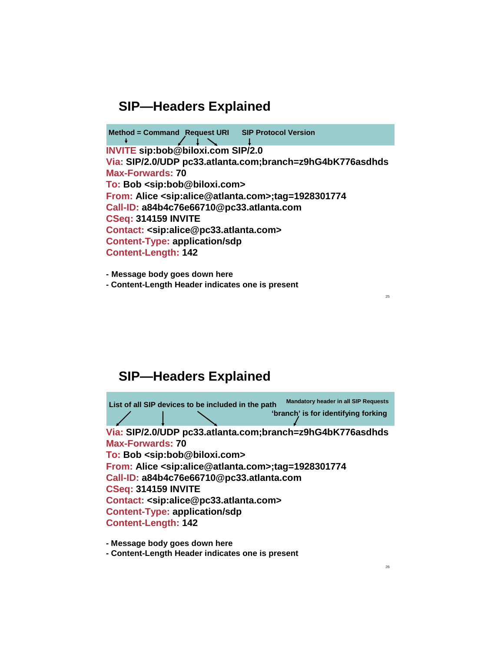**INVITE sip:bob@biloxi.com SIP/2.0 Via: SIP/2.0/UDP pc33.atlanta.com;branch=z9hG4bK776asdhds Max-Forwards: 70 To: Bob <sip:bob@biloxi.com> From: Alice <sip:alice@atlanta.com>;tag=1928301774 Call-ID: a84b4c76e66710@pc33.atlanta.com CSeq: 314159 INVITE Contact: <sip:alice@pc33.atlanta.com> Content-Type: application/sdp Content-Length: 142 Method = Command Request URI SIP Protocol Version**

**- Message body goes down here - Content-Length Header indicates one is present**

**SIP—Headers Explained**

**INVITE sip:bob@biloxi.com SIP/2.0 Via: SIP/2.0/UDP pc33.atlanta.com;branch=z9hG4bK776asdhds Max-Forwards: 70 To: Bob <sip:bob@biloxi.com> From: Alice <sip:alice@atlanta.com>;tag=1928301774 Call-ID: a84b4c76e66710@pc33.atlanta.com CSeq: 314159 INVITE Contact: <sip:alice@pc33.atlanta.com> Content-Type: application/sdp Content-Length: 142 List of all SIP devices to be included in the path 'branch' is for identifying forking Mandatory header in all SIP Requests** 

**- Message body goes down here**

**- Content-Length Header indicates one is present**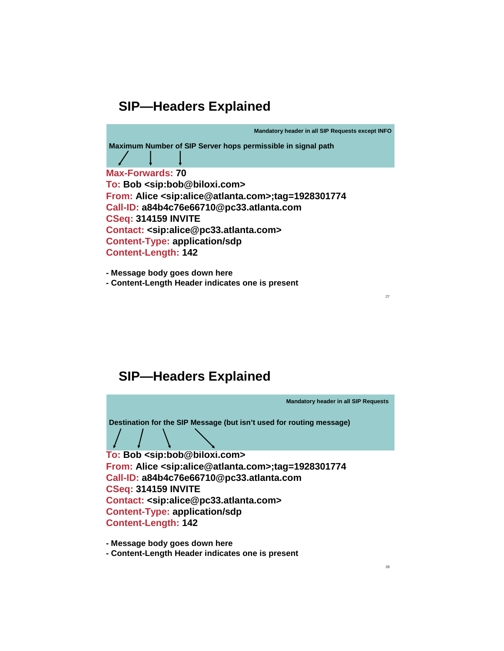**Mandatory header in all SIP Requests except INFO** 

**INVITE SHEADER SERVER HOPS permissible in signal path**<br>  $\frac{1}{2}$ 

**Via: SIP/2.0/UDP pc33.atlanta.com;branch=z9hG4bK776asdhds Max-Forwards: 70 To: Bob <sip:bob@biloxi.com> From: Alice <sip:alice@atlanta.com>;tag=1928301774 Call-ID: a84b4c76e66710@pc33.atlanta.com CSeq: 314159 INVITE Contact: <sip:alice@pc33.atlanta.com> Content-Type: application/sdp Content-Length: 142**

**James Polk 20050503 - Message body goes down here - Content-Length Header indicates one is present**

**SIP—Headers Explained**

**Mandatory header in all SIP Requests** 

**Destination for the SIP Message (but isn't used for routing message)** 

**Via: SIP/2.0/UDP pc33.atlanta.com;branch=z9hG4bK776asdhds**

**Max-Forwards: 70 To: Bob <sip:bob@biloxi.com> From: Alice <sip:alice@atlanta.com>;tag=1928301774 Call-ID: a84b4c76e66710@pc33.atlanta.com CSeq: 314159 INVITE Contact: <sip:alice@pc33.atlanta.com> Content-Type: application/sdp Content-Length: 142**

**- Message body goes down here** 

**- Content-Length Header indicates one is present**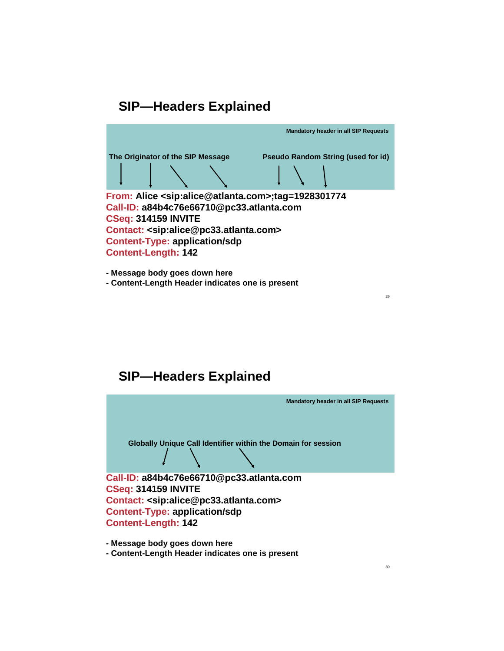

**- Message body goes down here - Content-Length Header indicates one is present**

**SIP—Headers Explained**



**- Message body goes down here** 

**- Content-Length Header indicates one is present**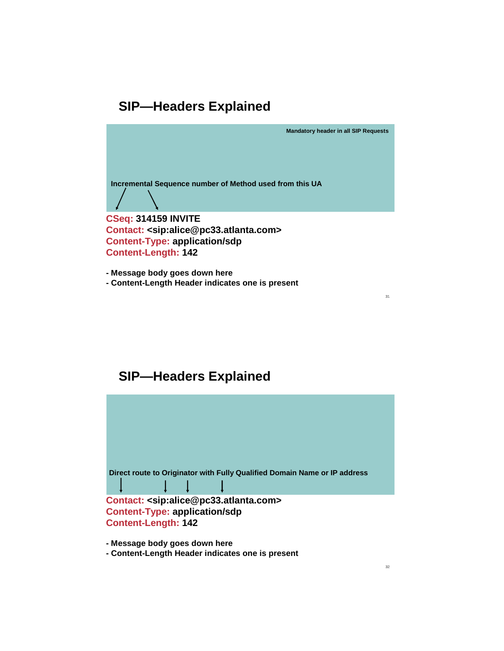**Mandatory header in all SIP Requests** 

Incremental Sequence number of Method used from this UA



**CSeq: 314159 INVITE Contact: <sip:alice@pc33.atlanta.com> Content-Type: application/sdp Content-Length: 142**

**- Message body goes down here - Content-Length Header indicates one is present**

## **SIP—Headers Explained**



**- Message body goes down here** 

**- Content-Length Header indicates one is present**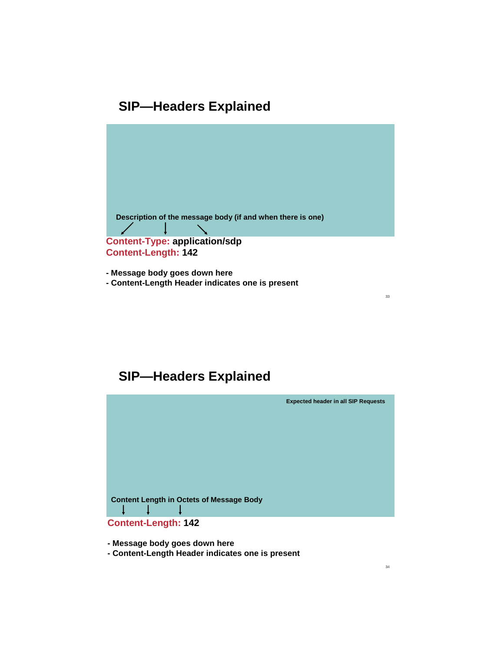

**- Message body goes down here - Content-Length Header indicates one is present**

**SIP—Headers Explained**



**- Message body goes down here** 

**- Content-Length Header indicates one is present**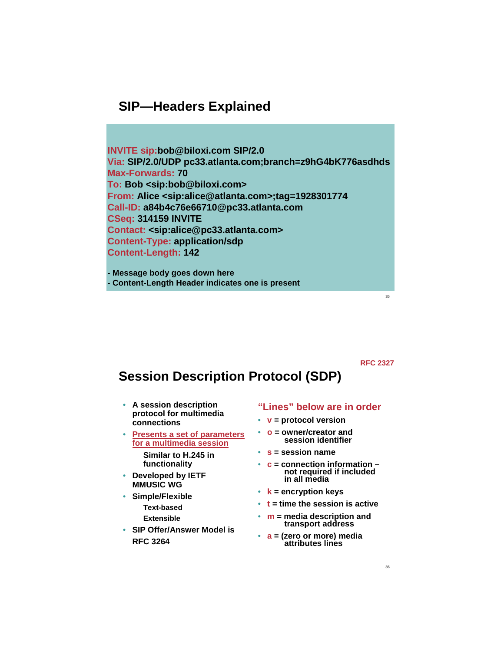**INVITE sip:bob@biloxi.com SIP/2.0 Via: SIP/2.0/UDP pc33.atlanta.com;branch=z9hG4bK776asdhds Max-Forwards: 70 To: Bob <sip:bob@biloxi.com> From: Alice <sip:alice@atlanta.com>;tag=1928301774 Call-ID: a84b4c76e66710@pc33.atlanta.com CSeq: 314159 INVITE Contact: <sip:alice@pc33.atlanta.com> Content-Type: application/sdp Content-Length: 142**

**- Message body goes down here - Content-Length Header indicates one is present**

**RFC 2327**

35

# **Session Description Protocol (SDP)**

- **A session description protocol for multimedia connections**
- **Presents a set of parameters for a multimedia session Similar to H.245 in functionality**
- **Developed by IETF MMUSIC WG**
- **Simple/Flexible Text-based Extensible**
- **SIP Offer/Answer Model is RFC 3264**

#### **"Lines" below are in order**

- **v = protocol version**
- **o = owner/creator and session identifier**
- **s = session name**
- **c = connection information – not required if included in all media**
- **k = encryption keys**
- **t = time the session is active**
- **m = media description and transport address**
- **a = (zero or more) media attributes lines**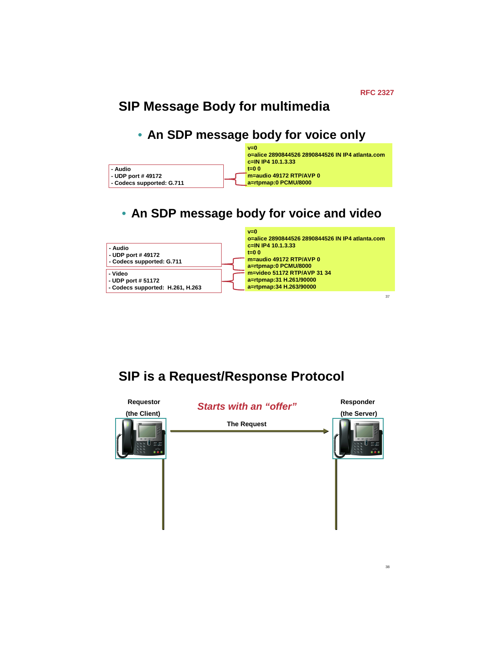# **SIP Message Body for multimedia**

#### • **An SDP message body for voice only**



# • **An SDP message body for voice and video**



**SIP is a Request/Response Protocol**

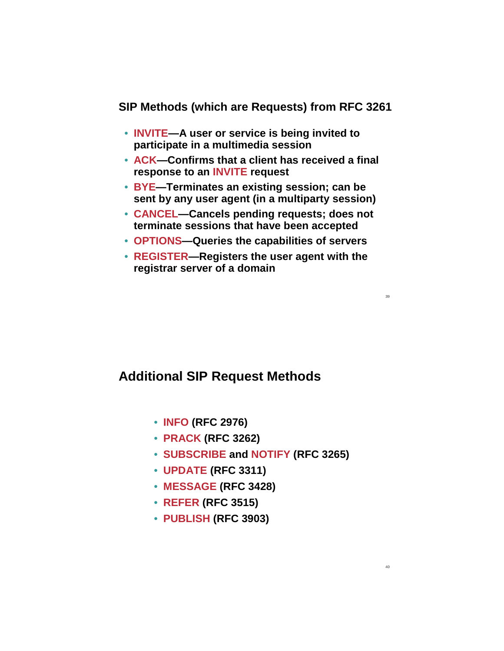#### **SIP Methods (which are Requests) from RFC 3261**

- **INVITE—A user or service is being invited to participate in a multimedia session**
- **ACK—Confirms that a client has received a final response to an INVITE request**
- **BYE—Terminates an existing session; can be sent by any user agent (in a multiparty session)**
- **CANCEL—Cancels pending requests; does not terminate sessions that have been accepted**
- **OPTIONS—Queries the capabilities of servers**
- **REGISTER—Registers the user agent with the registrar server of a domain**

#### **Additional SIP Request Methods**

- **INFO (RFC 2976)**
- **PRACK (RFC 3262)**
- **SUBSCRIBE and NOTIFY (RFC 3265)**
- **UPDATE (RFC 3311)**
- **MESSAGE (RFC 3428)**
- **REFER (RFC 3515)**
- **PUBLISH (RFC 3903)**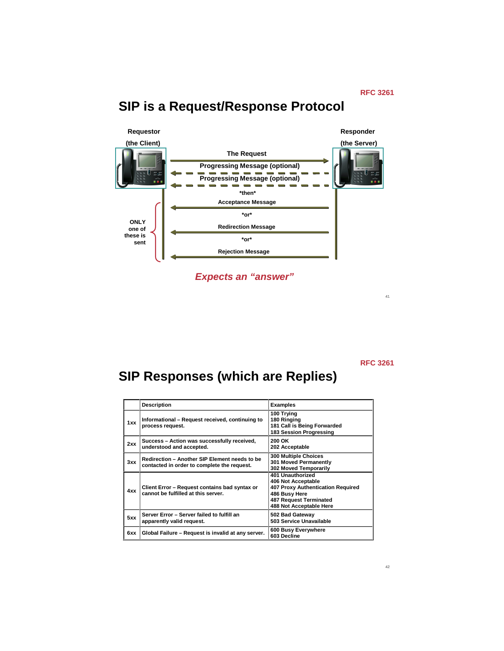# **SIP is a Request/Response Protocol**



**Expects an "answer"**

**RFC 3261**

41

# **SIP Responses (which are Replies)**

|     | <b>Description</b>                                                                           | <b>Examples</b>                                                                                                                                          |
|-----|----------------------------------------------------------------------------------------------|----------------------------------------------------------------------------------------------------------------------------------------------------------|
| 1xx | Informational – Request received, continuing to<br>process request.                          | 100 Trying<br>180 Ringing<br>181 Call is Being Forwarded<br>183 Session Progressing                                                                      |
| 2xx | Success - Action was successfully received,<br>understood and accepted.                      | 200 OK<br>202 Acceptable                                                                                                                                 |
| 3xx | Redirection - Another SIP Element needs to be<br>contacted in order to complete the request. | <b>300 Multiple Choices</b><br>301 Moved Permanently<br>302 Moved Temporarily                                                                            |
| 4xx | Client Error - Request contains bad syntax or<br>cannot be fulfilled at this server.         | 401 Unauthorized<br>406 Not Acceptable<br>407 Proxy Authentication Required<br>486 Busy Here<br><b>487 Request Terminated</b><br>488 Not Acceptable Here |
| 5xx | Server Error - Server failed to fulfill an<br>apparently valid request.                      | 502 Bad Gateway<br>503 Service Unavailable                                                                                                               |
| 6xx | Global Failure - Request is invalid at any server.                                           | 600 Busy Everywhere<br>603 Decline                                                                                                                       |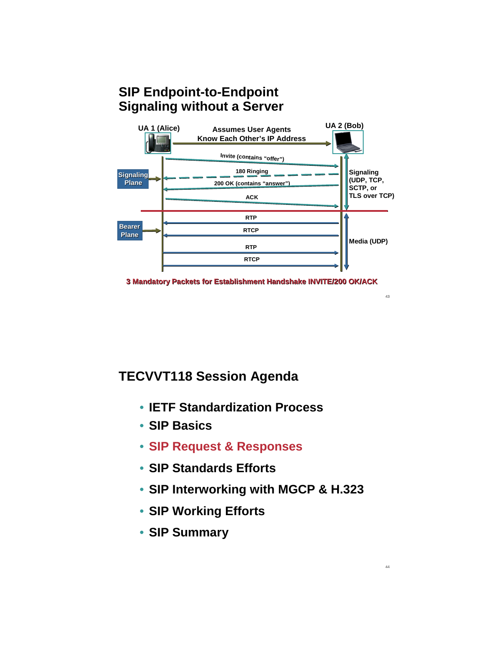# **SIP Endpoint-to-Endpoint Signaling without a Server**





43

44

## **TECVVT118 Session Agenda**

- **IETF Standardization Process**
- **SIP Basics**
- **SIP Request & Responses**
- **SIP Standards Efforts**
- **SIP Interworking with MGCP & H.323**
- **SIP Working Efforts**
- **SIP Summary**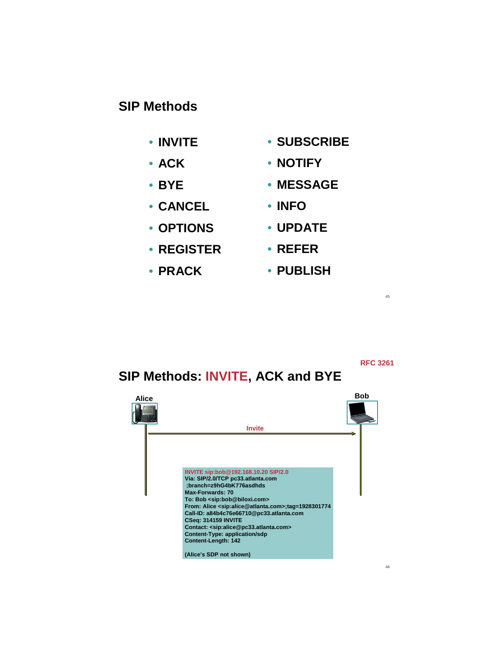#### **SIP Methods**

- **INVITE**
- **ACK**
- **BYE**
- **CANCEL**
- **OPTIONS**
- **REGISTER**
- **PRACK**
- **SUBSCRIBE**
	- **NOTIFY**
	- **MESSAGE**
	- **INFO**
- **UPDATE**
- **REFER**
	- **PUBLISH**

**RFC 3261**

45

# **SIP Methods: INVITE, ACK and BYE**

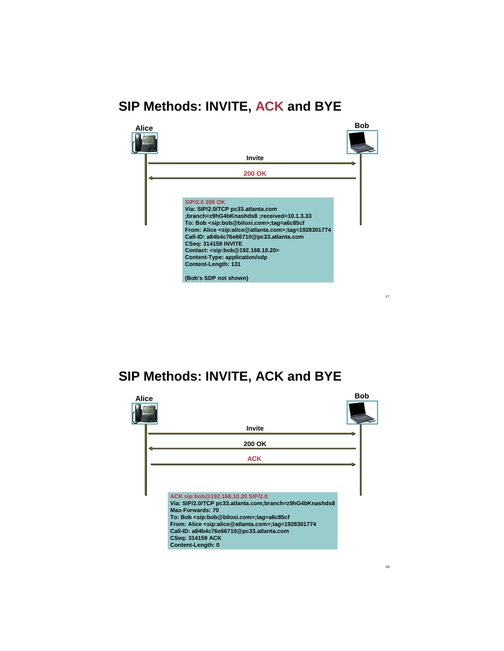# **SIP Methods: INVITE, ACK and BYE**



## **SIP Methods: INVITE, ACK and BYE**

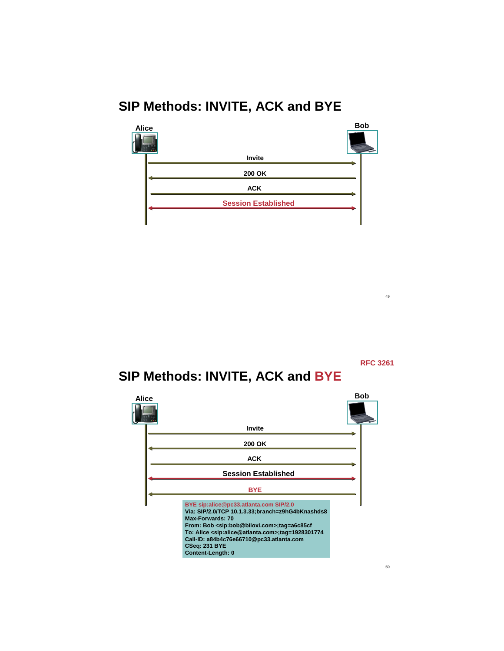# **SIP Methods: INVITE, ACK and BYE**



**RFC 3261**

49

# **SIP Methods: INVITE, ACK and BYE**

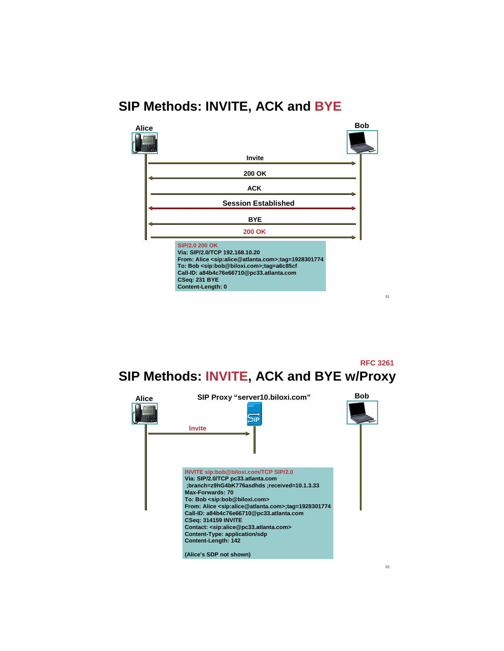# **SIP Methods: INVITE, ACK and BYE**



**SIP Methods: INVITE, ACK and BYE w/Proxy RFC 3261**

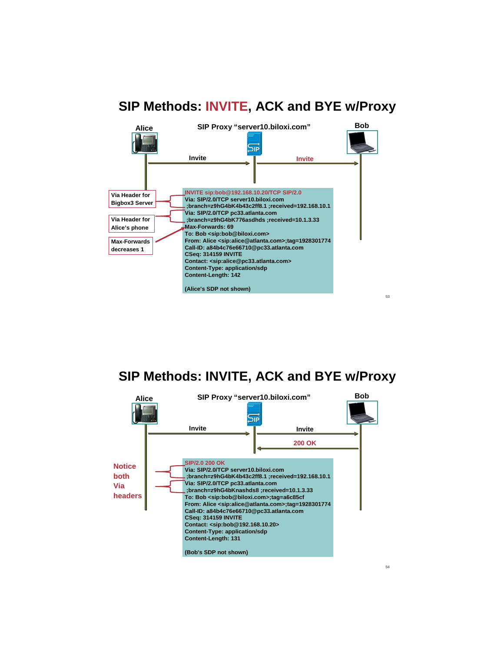



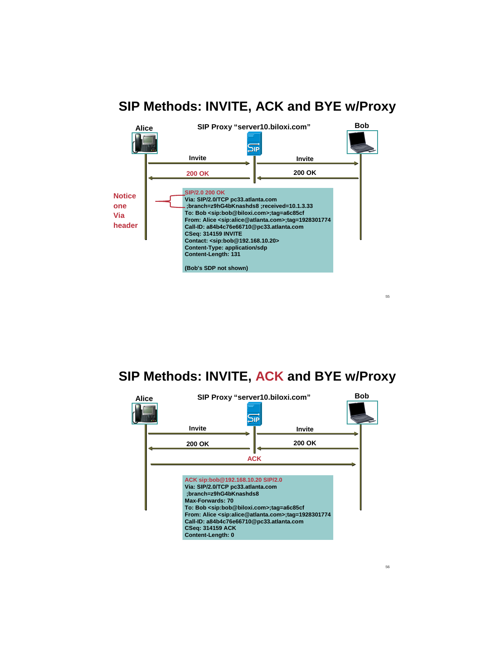

**SIP Methods: INVITE, ACK and BYE w/Proxy**

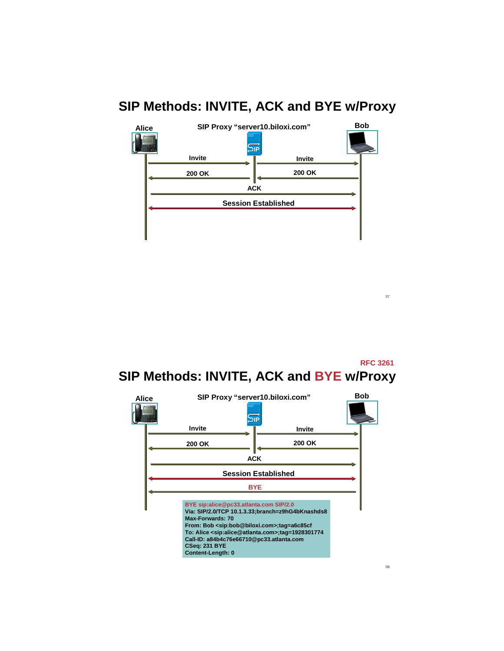

**SIP Methods: INVITE, ACK and BYE w/Proxy RFC 3261**



58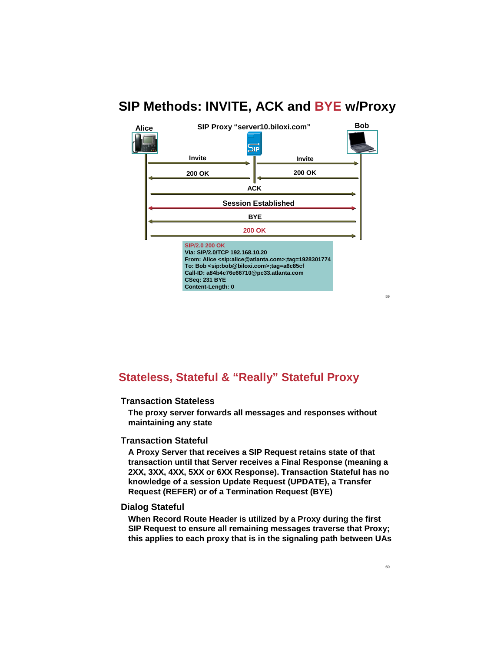

**Stateless, Stateful & "Really" Stateful Proxy**

#### **Transaction Stateless**

**The proxy server forwards all messages and responses without maintaining any state**

#### **Transaction Stateful**

**A Proxy Server that receives a SIP Request retains state of that transaction until that Server receives a Final Response (meaning a 2XX, 3XX, 4XX, 5XX or 6XX Response). Transaction Stateful has no knowledge of a session Update Request (UPDATE), a Transfer Request (REFER) or of a Termination Request (BYE)**

#### **Dialog Stateful**

**When Record Route Header is utilized by a Proxy during the first SIP Request to ensure all remaining messages traverse that Proxy; this applies to each proxy that is in the signaling path between UAs**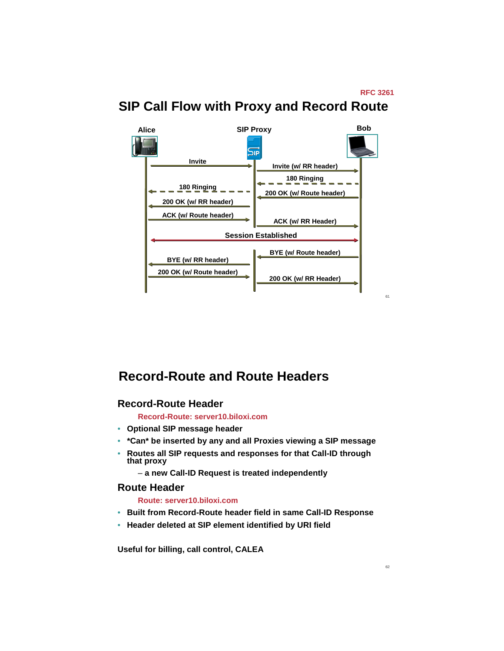#### **SIP Call Flow with Proxy and Record Route**



## **Record-Route and Route Headers**

#### **Record-Route Header**

**Record-Route: server10.biloxi.com**

- **Optional SIP message header**
- **\*Can\* be inserted by any and all Proxies viewing a SIP message**
- **Routes all SIP requests and responses for that Call-ID through that proxy**
	- **a new Call-ID Request is treated independently**

#### **Route Header**

**Route: server10.biloxi.com**

- **Built from Record-Route header field in same Call-ID Response**
- **Header deleted at SIP element identified by URI field**

**Useful for billing, call control, CALEA**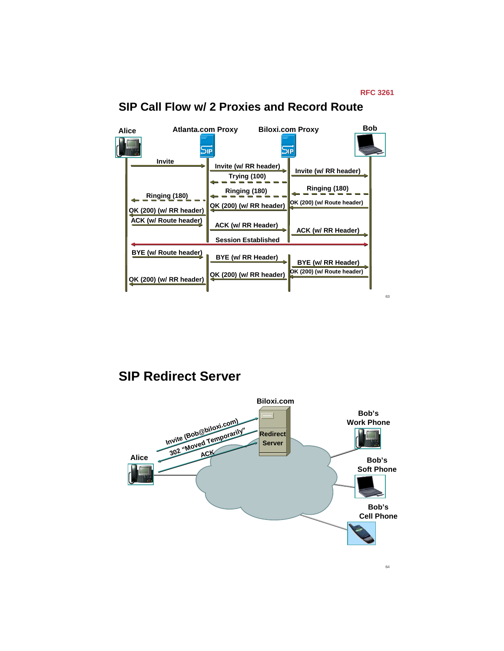

#### **SIP Call Flow w/ 2 Proxies and Record Route**

**SIP Redirect Server**

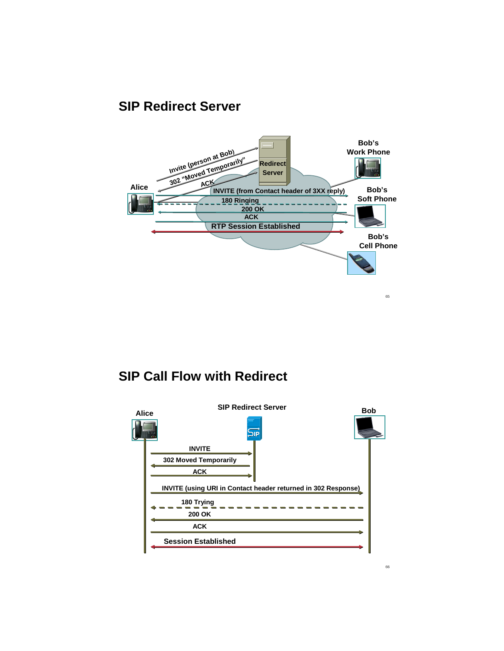#### **SIP Redirect Server**



#### **SIP Call Flow with Redirect**

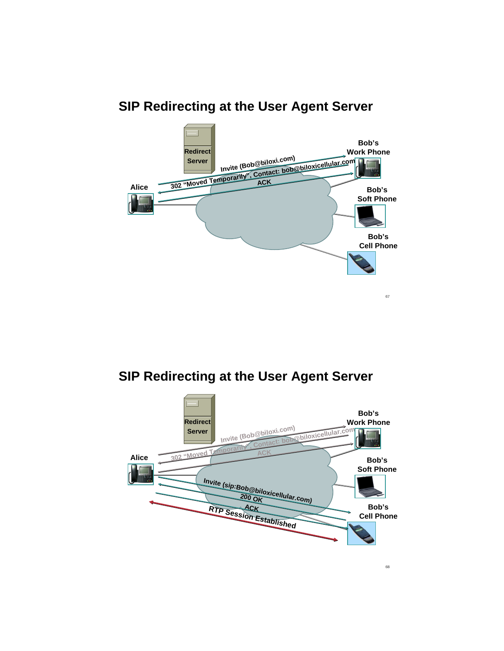

# **SIP Redirecting at the User Agent Server**

# **SIP Redirecting at the User Agent Server**

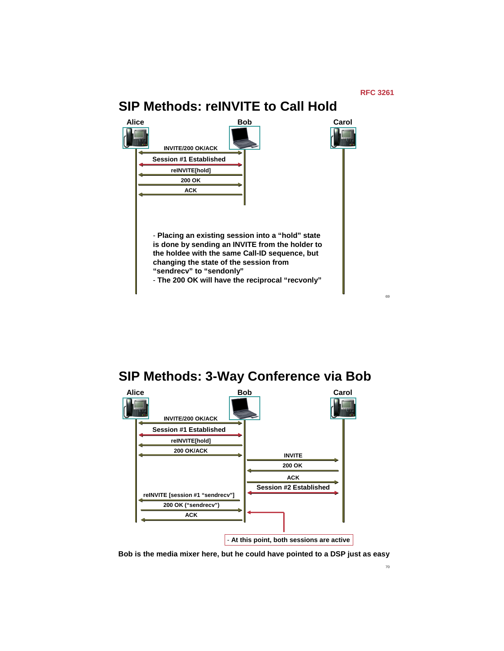

69

# **SIP Methods: reINVITE to Call Hold**



## **SIP Methods: 3-Way Conference via Bob**



**Bob is the media mixer here, but he could have pointed to a DSP just as easy**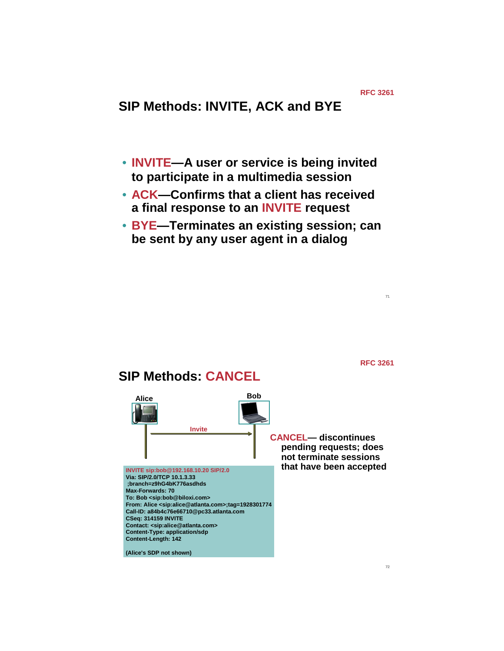71

**RFC 3261**

# **SIP Methods: INVITE, ACK and BYE**

- **INVITE—A user or service is being invited to participate in a multimedia session**
- **ACK—Confirms that a client has received a final response to an INVITE request**
- **BYE—Terminates an existing session; can be sent by any user agent in a dialog**

**Alice Bob SIP Methods: CANCEL INVITE sip:bob@192.168.10.20 SIP/2.0 Via: SIP/2.0/TCP 10.1.3.33 ;branch=z9hG4bK776asdhds Max-Forwards: 70 To: Bob <sip:bob@biloxi.com> From: Alice <sip:alice@atlanta.com>;tag=1928301774 Call-ID: a84b4c76e66710@pc33.atlanta.com CSeq: 314159 INVITE Contact: <sip:alice@atlanta.com> Content-Type: application/sdp Content-Length: 142 Invite CANCEL— discontinues pending requests; does not terminate sessions that have been accepted**

**(Alice's SDP not shown)**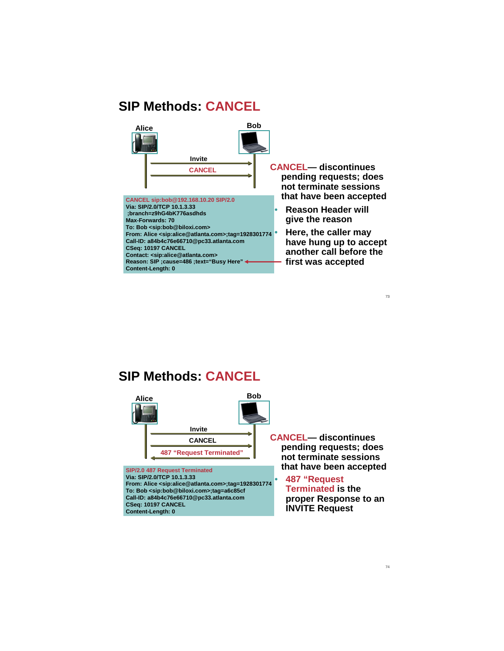#### **SIP Methods: CANCEL**



## **SIP Methods: CANCEL**



**CSeq: 10197 CANCEL Content-Length: 0**

**pending requests; does not terminate sessions that have been accepted**

**Terminated is the proper Response to an INVITE Request**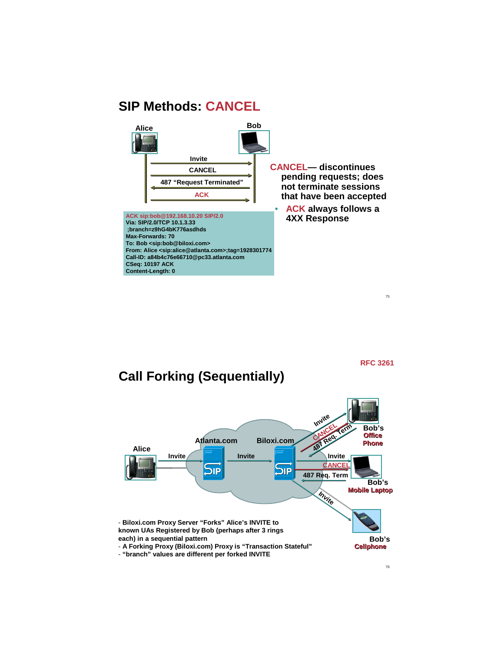#### **SIP Methods: CANCEL**



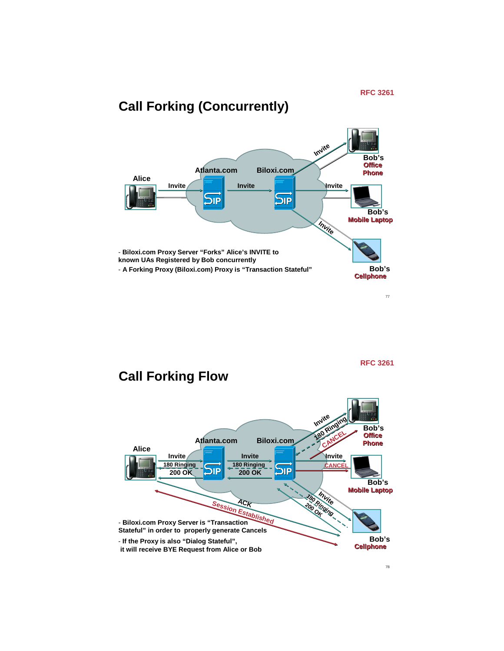

**RFC 3261**

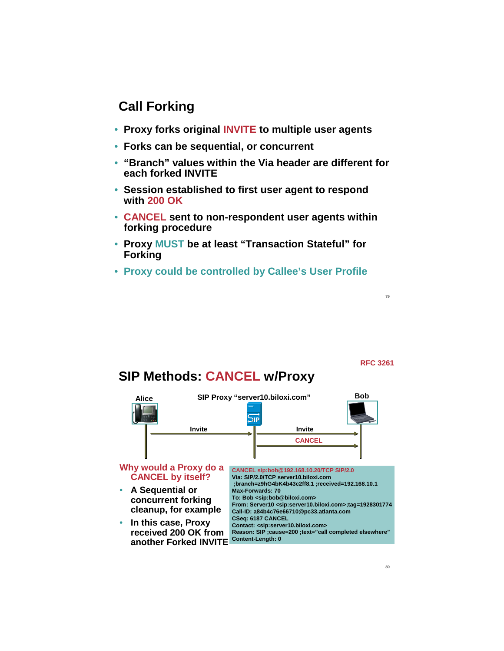## **Call Forking**

- **Proxy forks original INVITE to multiple user agents**
- **Forks can be sequential, or concurrent**
- **"Branch" values within the Via header are different for each forked INVITE**
- **Session established to first user agent to respond with 200 OK**
- **CANCEL sent to non-respondent user agents within forking procedure**
- **Proxy MUST be at least "Transaction Stateful" for Forking**
- **Proxy could be controlled by Callee's User Profile**

**RFC 3261**

79

#### **SIP Methods: CANCEL w/Proxy**

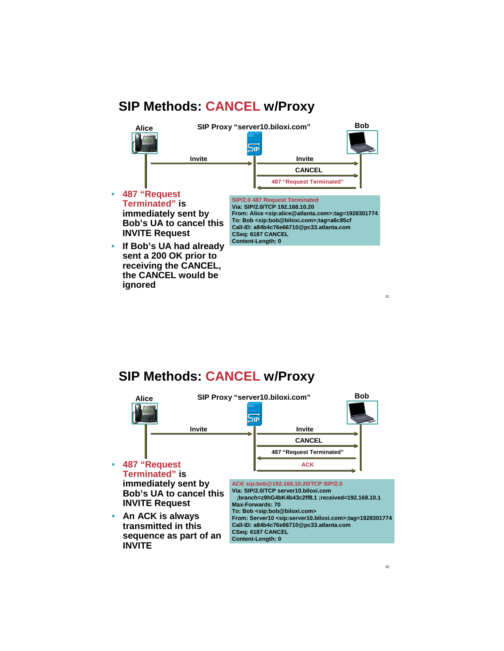#### **SIP Methods: CANCEL w/Proxy**



• **If Bob's UA had already sent a 200 OK prior to receiving the CANCEL, the CANCEL would be ignored**

**Call-ID: a84b4c76e66710@pc33.atlanta.com CSeq: 6187 CANCEL Content-Length: 0**

#### **SIP Methods: CANCEL w/Proxy**

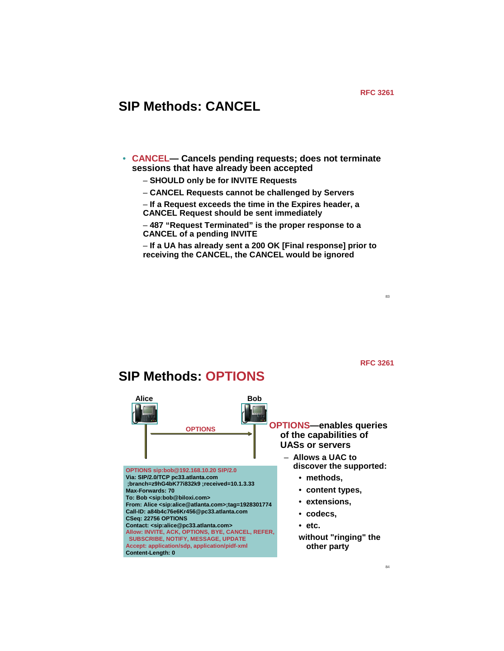# **SIP Methods: CANCEL**

**SIP Methods: OPTIONS**

- **CANCEL— Cancels pending requests; does not terminate sessions that have already been accepted**
	- **SHOULD only be for INVITE Requests**
	- **CANCEL Requests cannot be challenged by Servers**
	- **If a Request exceeds the time in the Expires header, a CANCEL Request should be sent immediately**

– **487 "Request Terminated" is the proper response to a CANCEL of a pending INVITE**

– **If a UA has already sent a 200 OK [Final response] prior to receiving the CANCEL, the CANCEL would be ignored**

**RFC 3261**

84

#### **Alice Bob OPTIONS—enables queries of the capabilities of UASs or servers** – **Allows a UAC to discover the supported:**  • **methods,**  • **content types,**  • **extensions,**  • **codecs,**  • **etc. without "ringing" the other party OPTIONS sip:bob@192.168.10.20 SIP/2.0 Via: SIP/2.0/TCP pc33.atlanta.com ;branch=z9hG4bK77i832k9 ;received=10.1.3.33 Max-Forwards: 70 To: Bob <sip:bob@biloxi.com> From: Alice <sip:alice@atlanta.com>;tag=1928301774 Call-ID: a84b4c76e6Kr456@pc33.atlanta.com CSeq: 22756 OPTIONS Contact: <sip:alice@pc33.atlanta.com> Allow: INVITE, ACK, OPTIONS, BYE, CANCEL, REFER, SUBSCRIBE, NOTIFY, MESSAGE, UPDATE Accept: application/sdp, application/pidf-xml Content-Length: 0 OPTIONS**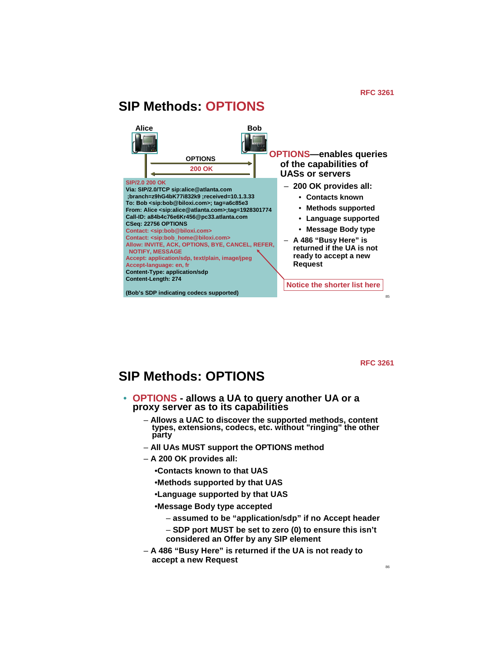#### 85 **James Polk 20050503 Alice SIP Methods: OPTIONS Bob 200 OK OPTIONS—enables queries of the capabilities of UASs or servers** – **200 OK provides all:** • **Contacts known** • **Methods supported** • **Language supported** • **Message Body type** – **A 486 "Busy Here" is returned if the UA is not ready to accept a new Request SIP/2.0 200 OK Via: SIP/2.0/TCP sip:alice@atlanta.com ;branch=z9hG4bK77i832k9 ;received=10.1.3.33 To: Bob <sip:bob@biloxi.com>; tag=a6c85e3 From: Alice <sip:alice@atlanta.com>;tag=1928301774 Call-ID: a84b4c76e6Kr456@pc33.atlanta.com CSeq: 22756 OPTIONS Contact: <sip:bob@biloxi.com> Contact: <sip:bob\_home@biloxi.com> Allow: INVITE, ACK, OPTIONS, BYE, CANCEL, REFER, NOTIFY, MESSAGE Accept: application/sdp, text/plain, image/jpeg Accept-language: en, fr Content-Type: application/sdp Content-Length: 274 (Bob's SDP indicating codecs supported) OPTIONS Notice the shorter list here**

**RFC 3261**

#### **SIP Methods: OPTIONS**

- **OPTIONS allows a UA to query another UA or a proxy server as to its capabilities**
	- **Allows a UAC to discover the supported methods, content types, extensions, codecs, etc. without "ringing" the other party**
	- **All UAs MUST support the OPTIONS method**
	- **A 200 OK provides all:**
		- •**Contacts known to that UAS**
		- •**Methods supported by that UAS**
		- •**Language supported by that UAS**
		- •**Message Body type accepted**
			- **assumed to be "application/sdp" if no Accept header**
			- **SDP port MUST be set to zero (0) to ensure this isn't considered an Offer by any SIP element**
	- **A 486 "Busy Here" is returned if the UA is not ready to accept a new Request**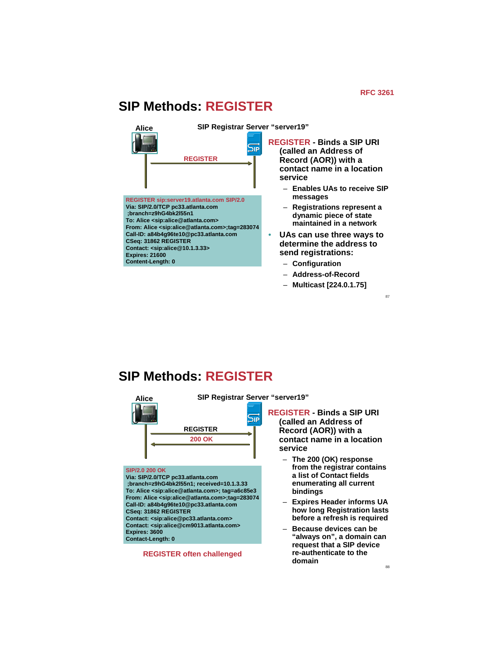#### **SIP Methods: REGISTER**



**SIP Methods: REGISTER**